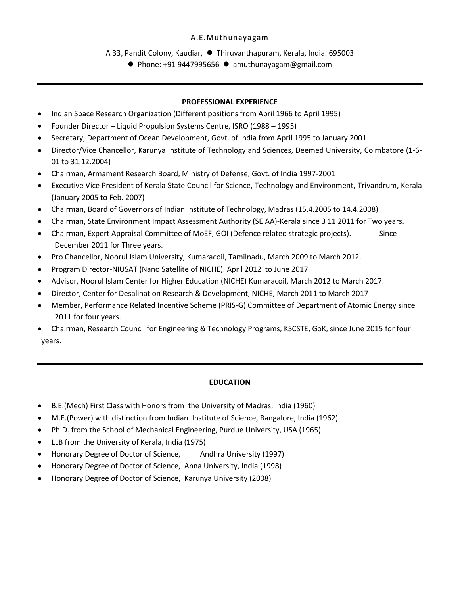### A.E.Muthunayagam

A 33, Pandit Colony, Kaudiar, ⚫ Thiruvanthapuram, Kerala, India. 695003

⚫ Phone: +91 9447995656 ⚫ amuthunayagam@gmail.com

## **PROFESSIONAL EXPERIENCE**

- Indian Space Research Organization (Different positions from April 1966 to April 1995)
- Founder Director Liquid Propulsion Systems Centre, ISRO (1988 1995)
- Secretary, Department of Ocean Development, Govt. of India from April 1995 to January 2001
- Director/Vice Chancellor, Karunya Institute of Technology and Sciences, Deemed University, Coimbatore (1-6- 01 to 31.12.2004)
- Chairman, Armament Research Board, Ministry of Defense, Govt. of India 1997-2001
- Executive Vice President of Kerala State Council for Science, Technology and Environment, Trivandrum, Kerala (January 2005 to Feb. 2007)
- Chairman, Board of Governors of Indian Institute of Technology, Madras (15.4.2005 to 14.4.2008)
- Chairman, State Environment Impact Assessment Authority (SEIAA)-Kerala since 3 11 2011 for Two years.
- Chairman, Expert Appraisal Committee of MoEF, GOI (Defence related strategic projects). Since December 2011 for Three years.
- Pro Chancellor, Noorul Islam University, Kumaracoil, Tamilnadu, March 2009 to March 2012.
- Program Director-NIUSAT (Nano Satellite of NICHE). April 2012 to June 2017
- Advisor, Noorul Islam Center for Higher Education (NICHE) Kumaracoil, March 2012 to March 2017.
- Director, Center for Desalination Research & Development, NICHE, March 2011 to March 2017
- Member, Performance Related Incentive Scheme (PRIS-G) Committee of Department of Atomic Energy since 2011 for four years.
- Chairman, Research Council for Engineering & Technology Programs, KSCSTE, GoK, since June 2015 for four years.

## **EDUCATION**

- B.E.(Mech) First Class with Honors from the University of Madras, India (1960)
- M.E.(Power) with distinction from Indian Institute of Science, Bangalore, India (1962)
- Ph.D. from the School of Mechanical Engineering, Purdue University, USA (1965)
- LLB from the University of Kerala, India (1975)
- Honorary Degree of Doctor of Science, Andhra University (1997)
- Honorary Degree of Doctor of Science, Anna University, India (1998)
- Honorary Degree of Doctor of Science, Karunya University (2008)